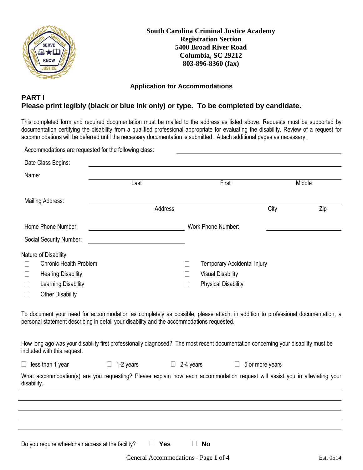

**South Carolina Criminal Justice Academy Registration Section 5400 Broad River Road Columbia, SC 29212 803-896-8360 (fax)**

#### **Application for Accommodations**

### **PART I Please print legibly (black or blue ink only) or type. To be completed by candidate.**

This completed form and required documentation must be mailed to the address as listed above. Requests must be supported by documentation certifying the disability from a qualified professional appropriate for evaluating the disability. Review of a request for accommodations will be deferred until the necessary documentation is submitted. Attach additional pages as necessary.

|                                                   | Accommodations are requested for the following class:                                     |                                      |                                                                                                                                                                                                                                                                     |        |
|---------------------------------------------------|-------------------------------------------------------------------------------------------|--------------------------------------|---------------------------------------------------------------------------------------------------------------------------------------------------------------------------------------------------------------------------------------------------------------------|--------|
| Date Class Begins:                                |                                                                                           |                                      |                                                                                                                                                                                                                                                                     |        |
| Name:                                             |                                                                                           |                                      |                                                                                                                                                                                                                                                                     |        |
|                                                   | Last                                                                                      |                                      | First                                                                                                                                                                                                                                                               | Middle |
| Mailing Address:                                  |                                                                                           |                                      |                                                                                                                                                                                                                                                                     |        |
|                                                   |                                                                                           | Address                              | City                                                                                                                                                                                                                                                                | Zip    |
| Home Phone Number:                                | <u> 1989 - Johann Barbara, martin eta politikar</u>                                       | <b>Work Phone Number:</b>            |                                                                                                                                                                                                                                                                     |        |
| Social Security Number:                           |                                                                                           |                                      |                                                                                                                                                                                                                                                                     |        |
| Nature of Disability                              |                                                                                           |                                      |                                                                                                                                                                                                                                                                     |        |
| <b>Chronic Health Problem</b>                     |                                                                                           |                                      | <b>Temporary Accidental Injury</b>                                                                                                                                                                                                                                  |        |
| <b>Hearing Disability</b>                         |                                                                                           | <b>Visual Disability</b>             |                                                                                                                                                                                                                                                                     |        |
| Learning Disability                               |                                                                                           | <b>Physical Disability</b><br>$\Box$ |                                                                                                                                                                                                                                                                     |        |
| <b>Other Disability</b><br>$\Box$                 |                                                                                           |                                      |                                                                                                                                                                                                                                                                     |        |
| included with this request.                       | personal statement describing in detail your disability and the accommodations requested. |                                      | To document your need for accommodation as completely as possible, please attach, in addition to professional documentation, a<br>How long ago was your disability first professionally diagnosed? The most recent documentation concerning your disability must be |        |
| $\Box$ less than 1 year                           | $\Box$ 1-2 years                                                                          | $\Box$ 2-4 years                     | 5 or more years<br>$\Box$                                                                                                                                                                                                                                           |        |
| disability.                                       |                                                                                           |                                      | What accommodation(s) are you requesting? Please explain how each accommodation request will assist you in alleviating your                                                                                                                                         |        |
|                                                   |                                                                                           |                                      |                                                                                                                                                                                                                                                                     |        |
|                                                   |                                                                                           |                                      |                                                                                                                                                                                                                                                                     |        |
|                                                   |                                                                                           |                                      |                                                                                                                                                                                                                                                                     |        |
| Do you require wheelchair access at the facility? |                                                                                           | <b>Yes</b><br><b>No</b>              |                                                                                                                                                                                                                                                                     |        |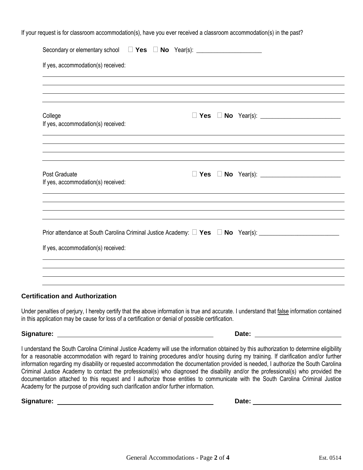If your request is for classroom accommodation(s), have you ever received a classroom accommodation(s) in the past?

| Secondary or elementary school □ Yes □ No Year(s): _____________________________                           |  |
|------------------------------------------------------------------------------------------------------------|--|
| If yes, accommodation(s) received:                                                                         |  |
|                                                                                                            |  |
|                                                                                                            |  |
| College<br>□ Yes □ No Year(s): _________________________<br>If yes, accommodation(s) received:             |  |
|                                                                                                            |  |
|                                                                                                            |  |
| Post Graduate<br>If yes, accommodation(s) received:                                                        |  |
|                                                                                                            |  |
|                                                                                                            |  |
| Prior attendance at South Carolina Criminal Justice Academy: □ Yes □ No Year(s): _________________________ |  |
| If yes, accommodation(s) received:                                                                         |  |
|                                                                                                            |  |
|                                                                                                            |  |

#### **Certification and Authorization**

Under penalties of perjury, I hereby certify that the above information is true and accurate. I understand that false information contained in this application may be cause for loss of a certification or denial of possible certification.

**Signature:** <u>Date:</u> **Date: Date: Date: Date: Date: Date: Date: Date: Date: Date: Date: Date: Date: Date: Date: Date: Date: Date: Date: Date: Date: Date: Date: Date: Date:**

I understand the South Carolina Criminal Justice Academy will use the information obtained by this authorization to determine eligibility for a reasonable accommodation with regard to training procedures and/or housing during my training. If clarification and/or further information regarding my disability or requested accommodation the documentation provided is needed, I authorize the South Carolina Criminal Justice Academy to contact the professional(s) who diagnosed the disability and/or the professional(s) who provided the documentation attached to this request and I authorize those entities to communicate with the South Carolina Criminal Justice Academy for the purpose of providing such clarification and/or further information.

**Signature: Date:**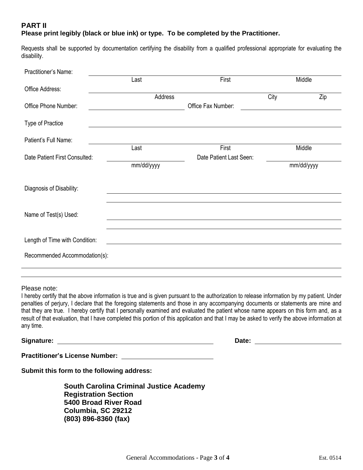## **PART II Please print legibly (black or blue ink) or type. To be completed by the Practitioner.**

Requests shall be supported by documentation certifying the disability from a qualified professional appropriate for evaluating the disability.

| Practitioner's Name:           |            |                         |        |            |
|--------------------------------|------------|-------------------------|--------|------------|
|                                | Last       | First                   | Middle |            |
| Office Address:                |            |                         |        |            |
|                                | Address    |                         | City   | Zip        |
| Office Phone Number:           |            | Office Fax Number:      |        |            |
| Type of Practice               |            |                         |        |            |
| Patient's Full Name:           |            |                         |        |            |
|                                | Last       | First                   |        | Middle     |
| Date Patient First Consulted:  |            | Date Patient Last Seen: |        |            |
|                                | mm/dd/yyyy |                         |        | mm/dd/yyyy |
|                                |            |                         |        |            |
| Diagnosis of Disability:       |            |                         |        |            |
|                                |            |                         |        |            |
|                                |            |                         |        |            |
| Name of Test(s) Used:          |            |                         |        |            |
|                                |            |                         |        |            |
|                                |            |                         |        |            |
| Length of Time with Condition: |            |                         |        |            |
| Recommended Accommodation(s):  |            |                         |        |            |
|                                |            |                         |        |            |
|                                |            |                         |        |            |

Please note:

I hereby certify that the above information is true and is given pursuant to the authorization to release information by my patient. Under penalties of perjury, I declare that the foregoing statements and those in any accompanying documents or statements are mine and that they are true. I hereby certify that I personally examined and evaluated the patient whose name appears on this form and, as a result of that evaluation, that I have completed this portion of this application and that I may be asked to verify the above information at any time.

**Signature: Date:** 

**Practitioner's License Number:** 

**Submit this form to the following address:** 

**South Carolina Criminal Justice Academy Registration Section 5400 Broad River Road Columbia, SC 29212 (803) 896-8360 (fax)**